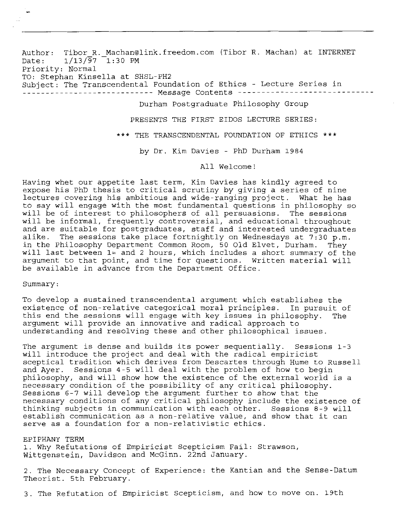Author: Tibor R. Machan@link.freedom.com (Tibor R. Machan) at INTERNET<br>Date: 1/13/97 1:30 PM  $1/13/\overline{97}$  1:30 PM Priority: Normal TO: Stephan Kinsella at SHSL-pH2 Subject: The Transcendental Foundation of Ethics - Lecture Series in<br>........................... Message Contents ---------------------Durham Postgraduate Philosophy Group PRESENTS THE FIRST EIDOS LECTURE SERIES:

\*\*\* THE TRANSCENDENTAL FOUNDATION OF ETHICS \*\*\*

by Dr. Kim Davies - PhD Durham 1984

All Welcome!

Having whet our appetite last term, Kim Davies has kindly agreed to expose his PhD thesis to critical scrutiny by giving a series of nine lectures covering his ambitious and wide-ranging project. What he has to say will engage with the most fundamental questions in philosophy so will be of interest to philosophers of all persuasions. The sessions will be informal, frequently controversial, and educational throughout and are suitable for postgraduates, staff and interested undergraduates<br>alike. The sessions take place fortnightly on Wednesdays at 7:30 p.m. The sessions take place fortnightly on Wednesdays at 7:30 p.m. in the Philosophy Department Common Room, 50 Old Elvet, Durham. They will last between  $1 =$  and 2 hours, which includes a short summary of the argument to that point, and time for questions. Written material will be available in advance from the Department Office.

Summary :

To develop a sustained transcendental argument which establishes the existence of non-relative categorical moral principles. In pursuit of this end the sessions will engage with key issues in philosophy. The argument will provide an innovative and radical approach to understanding and resolving these and other philosophical issues.

The argument is dense and builds its power sequentially. Sessions 1-3 will introduce the project and deal with the radical empiricist sceptical tradition which derives from Descartes through Hume to Russell and Ayer. Sessions 4-5 will deal with the problem of how to begin philosophy, and will show how the existence of the external world is a necessary condition of the possibility of any critical philosophy. Sessions **6-7** will develop the argument further to show that the necessary conditions of any critical philosophy include the existence of thinking subjects in communication with each other. Sessions 8-9 will establish communication as a non-relative value, and show that it can serve as a foundation for a non-relativistic ethics.

## EPIPHANY TERM

1. Why Refutations of Empiricist Scepticism Fail: Strawson, Wittgenstein, Davidson and McGinn. 22nd January.

2. The Necessary Concept of Experience: the Kantian and the Sense-Datum Theorist. 5th February.

3. The Refutation of Empiricist Scepticism, and how to move on. 19th